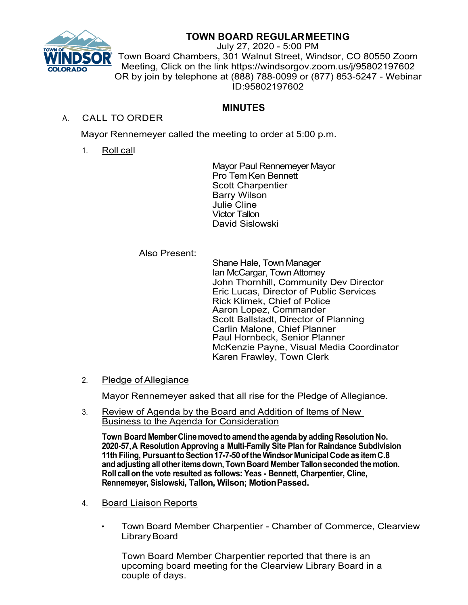

# **TOWN BOARD REGULARMEETING**

July 27, 2020 - 5:00 PM Town Board Chambers, 301 Walnut Street, Windsor, CO 80550 Zoom Meeting, Click on the link https://windsorgov.zoom.us/j/95802197602 OR by join by telephone at (888) 788-0099 or (877) 853-5247 - Webinar ID:95802197602

## **MINUTES**

## A. CALL TO ORDER

Mayor Rennemeyer called the meeting to order at 5:00 p.m.

1. Roll call

Mayor Paul Rennemeyer Mayor Pro Tem Ken Bennett Scott Charpentier Barry Wilson Julie Cline Victor Tallon David Sislowski

## Also Present:

Shane Hale, Town Manager Ian McCargar, TownAttorney John Thornhill, Community Dev Director Eric Lucas, Director of Public Services Rick Klimek, Chief of Police Aaron Lopez, Commander Scott Ballstadt, Director of Planning Carlin Malone, Chief Planner Paul Hornbeck, Senior Planner McKenzie Payne, Visual Media Coordinator Karen Frawley, Town Clerk

## 2. Pledge of Allegiance

Mayor Rennemeyer asked that all rise for the Pledge of Allegiance.

3. Review of Agenda by the Board and Addition of Items of New Business to the Agenda for Consideration

**Town Board MemberClinemovedtoamendthe agenda by adding Resolution No. 2020-57,A Resolution Approving a Multi-Family Site Plan for Raindance Subdivision 11th Filing, PursuanttoSection17-7-50ofthe Windsor MunicipalCode as itemC.8 andadjusting allotheritemsdown, Town Board MemberTallonsecondedthe motion. Roll callon the vote resulted as follows: Yeas - Bennett, Charpentier, Cline, Rennemeyer, Sislowski, Tallon, Wilson; MotionPassed.**

- 4. Board Liaison Reports
	- Town Board Member Charpentier Chamber of Commerce, Clearview LibraryBoard

Town Board Member Charpentier reported that there is an upcoming board meeting for the Clearview Library Board in a couple of days.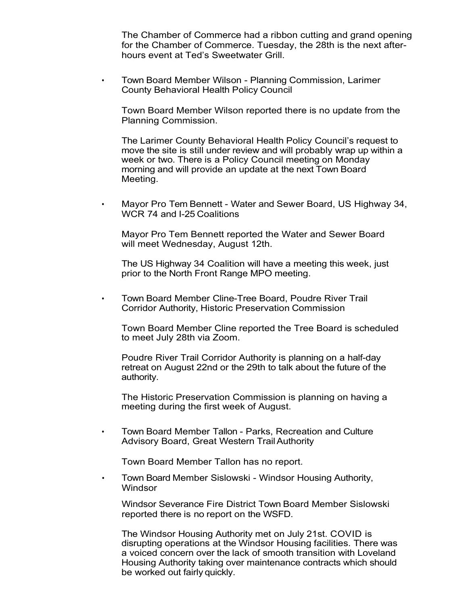The Chamber of Commerce had a ribbon cutting and grand opening for the Chamber of Commerce. Tuesday, the 28th is the next afterhours event at Ted's Sweetwater Grill.

• Town Board Member Wilson - Planning Commission, Larimer County Behavioral Health Policy Council

Town Board Member Wilson reported there is no update from the Planning Commission.

The Larimer County Behavioral Health Policy Council's request to move the site is still under review and will probably wrap up within a week or two. There is a Policy Council meeting on Monday morning and will provide an update at the next Town Board Meeting.

• Mayor Pro Tem Bennett - Water and Sewer Board, US Highway 34, WCR 74 and I-25 Coalitions

Mayor Pro Tem Bennett reported the Water and Sewer Board will meet Wednesday, August 12th.

The US Highway 34 Coalition will have a meeting this week, just prior to the North Front Range MPO meeting.

• Town Board Member Cline-Tree Board, Poudre River Trail Corridor Authority, Historic Preservation Commission

Town Board Member Cline reported the Tree Board is scheduled to meet July 28th via Zoom.

Poudre River Trail Corridor Authority is planning on a half-day retreat on August 22nd or the 29th to talk about the future of the authority.

The Historic Preservation Commission is planning on having a meeting during the first week of August.

• Town Board Member Tallon - Parks, Recreation and Culture Advisory Board, Great Western Trail Authority

Town Board Member Tallon has no report.

• Town Board Member Sislowski - Windsor Housing Authority, **Windsor** 

Windsor Severance Fire District Town Board Member Sislowski reported there is no report on the WSFD.

The Windsor Housing Authority met on July 21st. COVID is disrupting operations at the Windsor Housing facilities. There was a voiced concern over the lack of smooth transition with Loveland Housing Authority taking over maintenance contracts which should be worked out fairly quickly.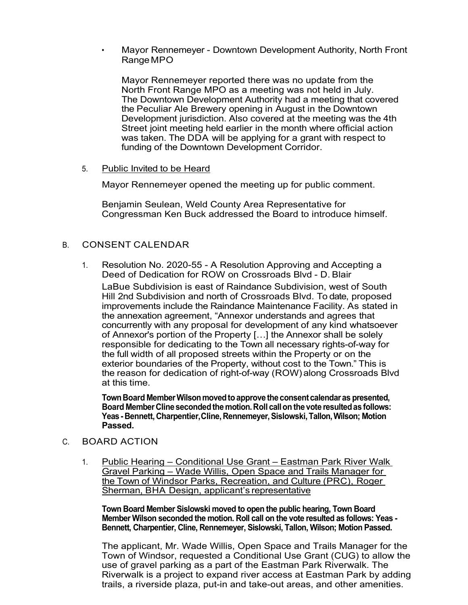• Mayor Rennemeyer - Downtown Development Authority, North Front RangeMPO

Mayor Rennemeyer reported there was no update from the North Front Range MPO as a meeting was not held in July. The Downtown Development Authority had a meeting that covered the Peculiar Ale Brewery opening in August in the Downtown Development jurisdiction. Also covered at the meeting was the 4th Street joint meeting held earlier in the month where official action was taken. The DDA will be applying for a grant with respect to funding of the Downtown Development Corridor.

5. Public Invited to be Heard

Mayor Rennemeyer opened the meeting up for public comment.

Benjamin Seulean, Weld County Area Representative for Congressman Ken Buck addressed the Board to introduce himself.

## B. CONSENT CALENDAR

1. Resolution No. 2020-55 - A Resolution Approving and Accepting a Deed of Dedication for ROW on Crossroads Blvd - D. Blair

LaBue Subdivision is east of Raindance Subdivision, west of South Hill 2nd Subdivision and north of Crossroads Blvd. To date, proposed improvements include the Raindance Maintenance Facility. As stated in the annexation agreement, "Annexor understands and agrees that concurrently with any proposal for development of any kind whatsoever of Annexor's portion of the Property […] the Annexor shall be solely responsible for dedicating to the Town all necessary rights-of-way for the full width of all proposed streets within the Property or on the exterior boundaries of the Property, without cost to the Town." This is the reason for dedication of right-of-way (ROW) along Crossroads Blvd at this time.

**TownBoard MemberWilsonmovedtoapprove the consent calendaras presented, Board MemberCline secondedthe motion.Roll callon the vote resultedas follows: Yeas- Bennett, Charpentier,Cline, Rennemeyer,Sislowski,Tallon,Wilson; Motion Passed.**

## C. BOARD ACTION

1. Public Hearing – Conditional Use Grant – Eastman Park River Walk Gravel Parking – Wade Willis, Open Space and Trails Manager for the Town of Windsor Parks, Recreation, and Culture (PRC), Roger Sherman, BHA Design, applicant's representative

**Town Board Member Sislowski moved to open the public hearing, Town Board Member Wilson seconded the motion. Roll call on the vote resulted as follows: Yeas - Bennett, Charpentier, Cline, Rennemeyer, Sislowski, Tallon, Wilson; Motion Passed.**

The applicant, Mr. Wade Willis, Open Space and Trails Manager for the Town of Windsor, requested a Conditional Use Grant (CUG) to allow the use of gravel parking as a part of the Eastman Park Riverwalk. The Riverwalk is a project to expand river access at Eastman Park by adding trails, a riverside plaza, put-in and take-out areas, and other amenities.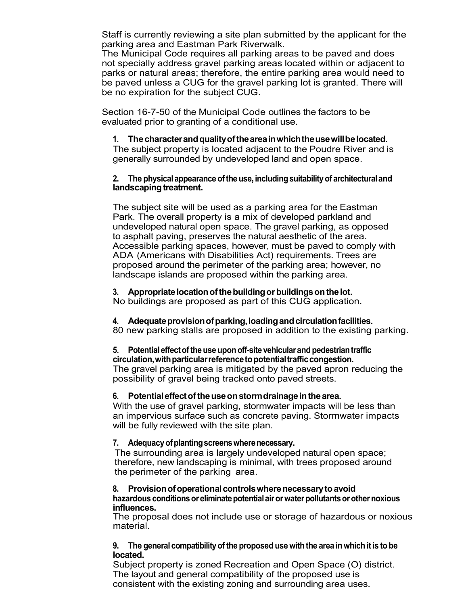Staff is currently reviewing a site plan submitted by the applicant for the parking area and Eastman Park Riverwalk.

The Municipal Code requires all parking areas to be paved and does not specially address gravel parking areas located within or adjacent to parks or natural areas; therefore, the entire parking area would need to be paved unless a CUG for the gravel parking lot is granted. There will be no expiration for the subject CUG.

Section 16-7-50 of the Municipal Code outlines the factors to be evaluated prior to granting of a conditional use.

## **1. Thecharacterandqualityoftheareainwhichtheusewillbelocated.**

The subject property is located adjacent to the Poudre River and is generally surrounded by undeveloped land and open space.

#### **2.** The physical appearance of the use, including suitability of architectural and landscaping treatment.

The subject site will be used as a parking area for the Eastman Park. The overall property is a mix of developed parkland and undeveloped natural open space. The gravel parking, as opposed to asphalt paving, preserves the natural aesthetic of the area. Accessible parking spaces, however, must be paved to comply with ADA (Americans with Disabilities Act) requirements. Trees are proposed around the perimeter of the parking area; however, no landscape islands are proposed within the parking area.

## **3. Appropriatelocationofthebuildingorbuildingsonthelot.**

No buildings are proposed as part of this CUG application.

#### **4. Adequateprovisionofparking,loadingandcirculationfacilities.**

80 new parking stalls are proposed in addition to the existing parking.

#### **5. Potentialeffectoftheuseuponoff-sitevehicularandpedestriantraffic circulation,withparticularreferencetopotentialtrafficcongestion.**

The gravel parking area is mitigated by the paved apron reducing the possibility of gravel being tracked onto paved streets.

## **6. Potentialeffectoftheuseonstormdrainageinthearea.**

With the use of gravel parking, stormwater impacts will be less than an impervious surface such as concrete paving. Stormwater impacts will be fully reviewed with the site plan.

## **7. Adequacyofplantingscreenswherenecessary.**

The surrounding area is largely undeveloped natural open space; therefore, new landscaping is minimal, with trees proposed around the perimeter of the parking area.

#### **8. Provisionofoperationalcontrolswherenecessarytoavoid hazardous conditionsoreliminatepotentialairorwaterpollutantsorothernoxious influences.**

The proposal does not include use or storage of hazardous or noxious material.

### **9. The generalcompatibilityofthe proposed use withthe area inwhichitis tobe located.**

Subject property is zoned Recreation and Open Space (O) district. The layout and general compatibility of the proposed use is consistent with the existing zoning and surrounding area uses.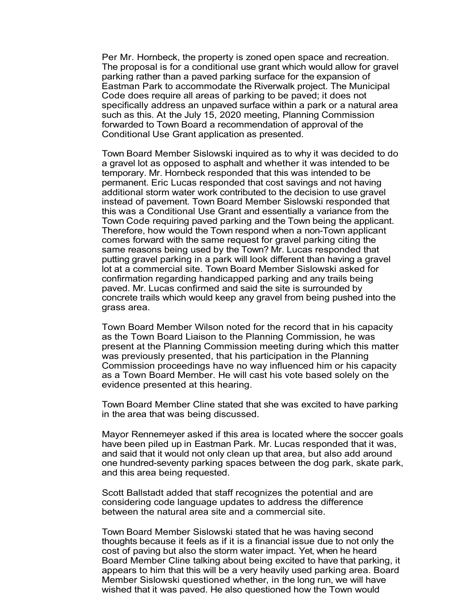Per Mr. Hornbeck, the property is zoned open space and recreation. The proposal is for a conditional use grant which would allow for gravel parking rather than a paved parking surface for the expansion of Eastman Park to accommodate the Riverwalk project. The Municipal Code does require all areas of parking to be paved; it does not specifically address an unpaved surface within a park or a natural area such as this. At the July 15, 2020 meeting, Planning Commission forwarded to Town Board a recommendation of approval of the Conditional Use Grant application as presented.

Town Board Member Sislowski inquired as to why it was decided to do a gravel lot as opposed to asphalt and whether it was intended to be temporary. Mr. Hornbeck responded that this was intended to be permanent. Eric Lucas responded that cost savings and not having additional storm water work contributed to the decision to use gravel instead of pavement. Town Board Member Sislowski responded that this was a Conditional Use Grant and essentially a variance from the Town Code requiring paved parking and the Town being the applicant. Therefore, how would the Town respond when a non-Town applicant comes forward with the same request for gravel parking citing the same reasons being used by the Town? Mr. Lucas responded that putting gravel parking in a park will look different than having a gravel lot at a commercial site. Town Board Member Sislowski asked for confirmation regarding handicapped parking and any trails being paved. Mr. Lucas confirmed and said the site is surrounded by concrete trails which would keep any gravel from being pushed into the grass area.

Town Board Member Wilson noted for the record that in his capacity as the Town Board Liaison to the Planning Commission, he was present at the Planning Commission meeting during which this matter was previously presented, that his participation in the Planning Commission proceedings have no way influenced him or his capacity as a Town Board Member. He will cast his vote based solely on the evidence presented at this hearing.

Town Board Member Cline stated that she was excited to have parking in the area that was being discussed.

Mayor Rennemeyer asked if this area is located where the soccer goals have been piled up in Eastman Park. Mr. Lucas responded that it was, and said that it would not only clean up that area, but also add around one hundred-seventy parking spaces between the dog park, skate park, and this area being requested.

Scott Ballstadt added that staff recognizes the potential and are considering code language updates to address the difference between the natural area site and a commercial site.

Town Board Member Sislowski stated that he was having second thoughts because it feels as if it is a financial issue due to not only the cost of paving but also the storm water impact. Yet, when he heard Board Member Cline talking about being excited to have that parking, it appears to him that this will be a very heavily used parking area. Board Member Sislowski questioned whether, in the long run, we will have wished that it was paved. He also questioned how the Town would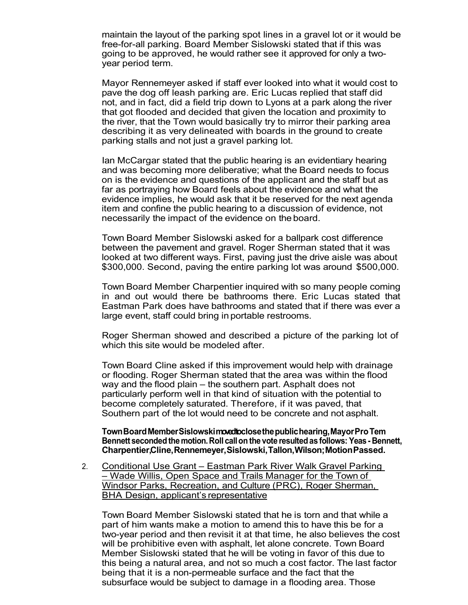maintain the layout of the parking spot lines in a gravel lot or it would be free-for-all parking. Board Member Sislowski stated that if this was going to be approved, he would rather see it approved for only a twoyear period term.

Mayor Rennemeyer asked if staff ever looked into what it would cost to pave the dog off leash parking are. Eric Lucas replied that staff did not, and in fact, did a field trip down to Lyons at a park along the river that got flooded and decided that given the location and proximity to the river, that the Town would basically try to mirror their parking area describing it as very delineated with boards in the ground to create parking stalls and not just a gravel parking lot.

Ian McCargar stated that the public hearing is an evidentiary hearing and was becoming more deliberative; what the Board needs to focus on is the evidence and questions of the applicant and the staff but as far as portraying how Board feels about the evidence and what the evidence implies, he would ask that it be reserved for the next agenda item and confine the public hearing to a discussion of evidence, not necessarily the impact of the evidence on theboard.

Town Board Member Sislowski asked for a ballpark cost difference between the pavement and gravel. Roger Sherman stated that it was looked at two different ways. First, paving just the drive aisle was about \$300,000. Second, paving the entire parking lot was around \$500,000.

Town Board Member Charpentier inquired with so many people coming in and out would there be bathrooms there. Eric Lucas stated that Eastman Park does have bathrooms and stated that if there was ever a large event, staff could bring in portable restrooms.

Roger Sherman showed and described a picture of the parking lot of which this site would be modeled after.

Town Board Cline asked if this improvement would help with drainage or flooding. Roger Sherman stated that the area was within the flood way and the flood plain – the southern part. Asphalt does not particularly perform well in that kind of situation with the potential to become completely saturated. Therefore, if it was paved, that Southern part of the lot would need to be concrete and not asphalt.

**TownBoardMemberSislowskimovedtoclosethepublichearing,MayorProTem Bennett secondedthemotion.Roll callon the vote resultedas follows: Yeas- Bennett, Charpentier,Cline,Rennemeyer,Sislowski,Tallon,Wilson;MotionPassed.**

2. Conditional Use Grant – Eastman Park River Walk Gravel Parking – Wade Willis, Open Space and Trails Manager for the Town of Windsor Parks, Recreation, and Culture (PRC), Roger Sherman, BHA Design, applicant's representative

Town Board Member Sislowski stated that he is torn and that while a part of him wants make a motion to amend this to have this be for a two-year period and then revisit it at that time, he also believes the cost will be prohibitive even with asphalt, let alone concrete. Town Board Member Sislowski stated that he will be voting in favor of this due to this being a natural area, and not so much a cost factor. The last factor being that it is a non-permeable surface and the fact that the subsurface would be subject to damage in a flooding area. Those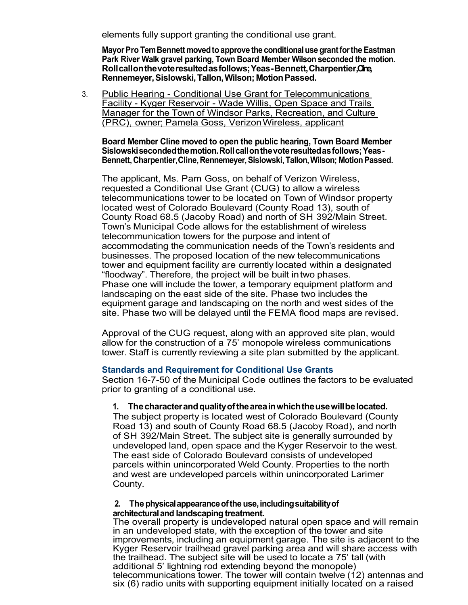elements fully support granting the conditional use grant.

**MayorPro TemBennett movedtoapprove the conditionaluse grantforthe Eastman Park River Walk gravel parking, Town Board Member Wilson seconded the motion. Rollcallonthevoteresultedasfollows;Yeas-Bennett,Charpentier,Cline, Rennemeyer,Sislowski,Tallon,Wilson; MotionPassed.**

3. Public Hearing - Conditional Use Grant for Telecommunications Facility - Kyger Reservoir - Wade Willis, Open Space and Trails Manager for the Town of Windsor Parks, Recreation, and Culture (PRC), owner; Pamela Goss, VerizonWireless, applicant

**Board Member Cline moved to open the public hearing, Town Board Member Sislowskisecondedthemotion.Rollcallonthevoteresultedasfollows;Yeas-Bennett,Charpentier,Cline,Rennemeyer,Sislowski,Tallon,Wilson; MotionPassed.**

The applicant, Ms. Pam Goss, on behalf of Verizon Wireless, requested a Conditional Use Grant (CUG) to allow a wireless telecommunications tower to be located on Town of Windsor property located west of Colorado Boulevard (County Road 13), south of County Road 68.5 (Jacoby Road) and north of SH 392/Main Street. Town's Municipal Code allows for the establishment of wireless telecommunication towers for the purpose and intent of accommodating the communication needs of the Town's residents and businesses. The proposed location of the new telecommunications tower and equipment facility are currently located within a designated "floodway". Therefore, the project will be built intwo phases. Phase one will include the tower, a temporary equipment platform and landscaping on the east side of the site. Phase two includes the equipment garage and landscaping on the north and west sides of the site. Phase two will be delayed until the FEMA flood maps are revised.

Approval of the CUG request, along with an approved site plan, would allow for the construction of a 75' monopole wireless communications tower. Staff is currently reviewing a site plan submitted by the applicant.

#### **Standards and Requirement for Conditional Use Grants**

Section 16-7-50 of the Municipal Code outlines the factors to be evaluated prior to granting of a conditional use.

#### **1. Thecharacterandqualityoftheareainwhichtheusewillbelocated.**

The subject property is located west of Colorado Boulevard (County Road 13) and south of County Road 68.5 (Jacoby Road), and north of SH 392/Main Street. The subject site is generally surrounded by undeveloped land, open space and the Kyger Reservoir to the west. The east side of Colorado Boulevard consists of undeveloped parcels within unincorporated Weld County. Properties to the north and west are undeveloped parcels within unincorporated Larimer County.

#### **2. The physicalappearanceoftheuse,includingsuitabilityof** architectural and landscaping treatment.

The overall property is undeveloped natural open space and will remain in an undeveloped state, with the exception of the tower and site improvements, including an equipment garage. The site is adjacent to the Kyger Reservoir trailhead gravel parking area and will share access with the trailhead. The subject site will be used to locate a 75' tall (with additional 5' lightning rod extending beyond the monopole) telecommunications tower. The tower will contain twelve (12) antennas and six (6) radio units with supporting equipment initially located on a raised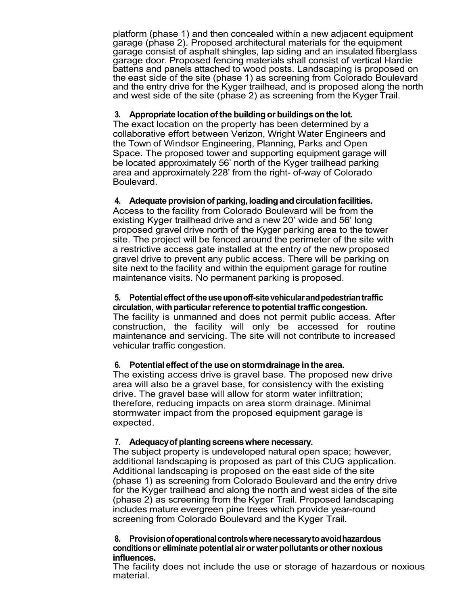platform (phase 1) and then concealed within a new adjacent equipment garage (phase 2). Proposed architectural materials for the equipment garage consist of asphalt shingles, lap siding and an insulated fiberglass garage door. Proposed fencing materials shall consist of vertical Hardie battens and panels attached to wood posts. Landscaping is proposed on the east side of the site (phase 1) as screening from Colorado Boulevard and the entry drive for the Kyger trailhead, and is proposed along the north and west side of the site (phase 2) as screening from the Kyger Trail.

## **3. Appropriate locationofthe buildingor buildingsonthe lot.**

The exact location on the property has been determined by a collaborative effort between Verizon, Wright Water Engineers and the Town of Windsor Engineering, Planning, Parks and Open Space. The proposed tower and supporting equipment garage will be located approximately 56' north of the Kyger trailhead parking area and approximately 228' from the right- of-way of Colorado Boulevard.

## **4. Adequate provisionof parking,loadingandcirculationfacilities.**

Access to the facility from Colorado Boulevard will be from the existing Kyger trailhead drive and a new 20' wide and 56' long proposed gravel drive north of the Kyger parking area to the tower site. The project will be fenced around the perimeter of the site with a restrictive access gate installed at the entry of the new proposed gravel drive to prevent any public access. There will be parking on site next to the facility and within the equipment garage for routine maintenance visits. No permanent parking is proposed.

#### **5. Potentialeffectoftheuseuponoff-sitevehicularandpedestriantraffic circulation, with particular reference to potential traffic congestion.**

The facility is unmanned and does not permit public access. After construction, the facility will only be accessed for routine maintenance and servicing. The site will not contribute to increased vehicular traffic congestion.

## **6. Potential effect of the use onstormdrainage inthe area.**

The existing access drive is gravel base. The proposed new drive area will also be a gravel base, for consistency with the existing drive. The gravel base will allow for storm water infiltration; therefore, reducing impacts on area storm drainage. Minimal stormwater impact from the proposed equipment garage is expected.

## **7. Adequacyof plantingscreenswhere necessary.**

The subject property is undeveloped natural open space; however, additional landscaping is proposed as part of this CUG application. Additional landscaping is proposed on the east side of the site (phase 1) as screening from Colorado Boulevard and the entry drive for the Kyger trailhead and along the north and west sides of the site (phase 2) as screening from the Kyger Trail. Proposed landscaping includes mature evergreen pine trees which provide year-round screening from Colorado Boulevard and the Kyger Trail.

#### **8. Provisionofoperationalcontrolswherenecessarytoavoidhazardous conditionsor eliminatepotential airorwaterpollutantsorothernoxious influences.**

The facility does not include the use or storage of hazardous or noxious material.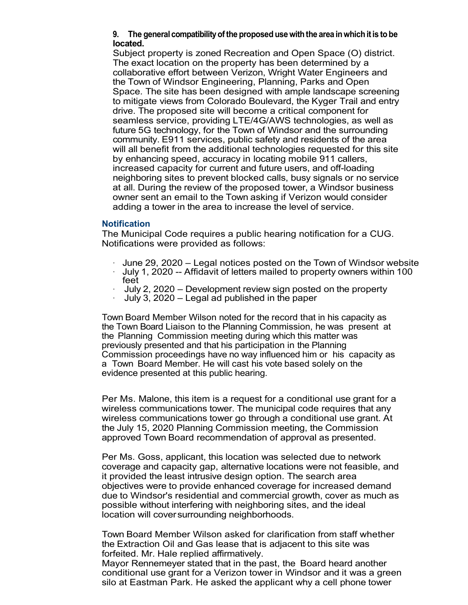## **9. The generalcompatibilityofthe proposed use withthe area inwhichitis tobe located.**

Subject property is zoned Recreation and Open Space (O) district. The exact location on the property has been determined by a collaborative effort between Verizon, Wright Water Engineers and the Town of Windsor Engineering, Planning, Parks and Open Space. The site has been designed with ample landscape screening to mitigate views from Colorado Boulevard, the Kyger Trail and entry drive. The proposed site will become a critical component for seamless service, providing LTE/4G/AWS technologies, as well as future 5G technology, for the Town of Windsor and the surrounding community. E911 services, public safety and residents of the area will all benefit from the additional technologies requested for this site by enhancing speed, accuracy in locating mobile 911 callers, increased capacity for current and future users, and off-loading neighboring sites to prevent blocked calls, busy signals or no service at all. During the review of the proposed tower, a Windsor business owner sent an email to the Town asking if Verizon would consider adding a tower in the area to increase the level of service.

### **Notification**

The Municipal Code requires a public hearing notification for a CUG. Notifications were provided as follows:

- · June 29, 2020 Legal notices posted on the Town of Windsor website
- · July 1, 2020 -- Affidavit of letters mailed to property owners within 100
- July 2, 2020 Development review sign posted on the property
- · July 3, 2020 Legal ad published in the paper

Town Board Member Wilson noted for the record that in his capacity as the Town Board Liaison to the Planning Commission, he was present at the Planning Commission meeting during which this matter was previously presented and that his participation in the Planning Commission proceedings have no way influenced him or his capacity as a Town Board Member. He will cast his vote based solely on the evidence presented at this public hearing.

Per Ms. Malone, this item is a request for a conditional use grant for a wireless communications tower. The municipal code requires that any wireless communications tower go through a conditional use grant. At the July 15, 2020 Planning Commission meeting, the Commission approved Town Board recommendation of approval as presented.

Per Ms. Goss, applicant, this location was selected due to network coverage and capacity gap, alternative locations were not feasible, and it provided the least intrusive design option. The search area objectives were to provide enhanced coverage for increased demand due to Windsor's residential and commercial growth, cover as much as possible without interfering with neighboring sites, and the ideal location will coversurrounding neighborhoods.

Town Board Member Wilson asked for clarification from staff whether the Extraction Oil and Gas lease that is adjacent to this site was forfeited. Mr. Hale replied affirmatively.

Mayor Rennemeyer stated that in the past, the Board heard another conditional use grant for a Verizon tower in Windsor and it was a green silo at Eastman Park. He asked the applicant why a cell phone tower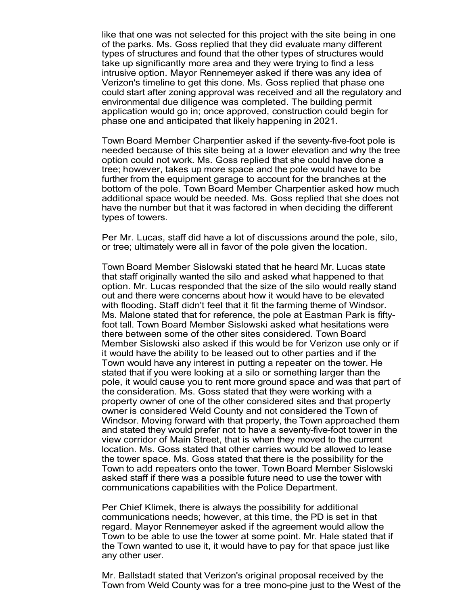like that one was not selected for this project with the site being in one of the parks. Ms. Goss replied that they did evaluate many different types of structures and found that the other types of structures would take up significantly more area and they were trying to find a less intrusive option. Mayor Rennemeyer asked if there was any idea of Verizon's timeline to get this done. Ms. Goss replied that phase one could start after zoning approval was received and all the regulatory and environmental due diligence was completed. The building permit application would go in; once approved, construction could begin for phase one and anticipated that likely happening in 2021.

Town Board Member Charpentier asked if the seventy-five-foot pole is needed because of this site being at a lower elevation and why the tree option could not work. Ms. Goss replied that she could have done a tree; however, takes up more space and the pole would have to be further from the equipment garage to account for the branches at the bottom of the pole. Town Board Member Charpentier asked how much additional space would be needed. Ms. Goss replied that she does not have the number but that it was factored in when deciding the different types of towers.

Per Mr. Lucas, staff did have a lot of discussions around the pole, silo, or tree; ultimately were all in favor of the pole given the location.

Town Board Member Sislowski stated that he heard Mr. Lucas state that staff originally wanted the silo and asked what happened to that option. Mr. Lucas responded that the size of the silo would really stand out and there were concerns about how it would have to be elevated with flooding. Staff didn't feel that it fit the farming theme of Windsor. Ms. Malone stated that for reference, the pole at Eastman Park is fiftyfoot tall. Town Board Member Sislowski asked what hesitations were there between some of the other sites considered. Town Board Member Sislowski also asked if this would be for Verizon use only or if it would have the ability to be leased out to other parties and if the Town would have any interest in putting a repeater on the tower. He stated that if you were looking at a silo or something larger than the pole, it would cause you to rent more ground space and was that part of the consideration. Ms. Goss stated that they were working with a property owner of one of the other considered sites and that property owner is considered Weld County and not considered the Town of Windsor. Moving forward with that property, the Town approached them and stated they would prefer not to have a seventy-five-foot tower in the view corridor of Main Street, that is when they moved to the current location. Ms. Goss stated that other carries would be allowed to lease the tower space. Ms. Goss stated that there is the possibility for the Town to add repeaters onto the tower. Town Board Member Sislowski asked staff if there was a possible future need to use the tower with communications capabilities with the Police Department.

Per Chief Klimek, there is always the possibility for additional communications needs; however, at this time, the PD is set in that regard. Mayor Rennemeyer asked if the agreement would allow the Town to be able to use the tower at some point. Mr. Hale stated that if the Town wanted to use it, it would have to pay for that space just like any other user.

Mr. Ballstadt stated that Verizon's original proposal received by the Town from Weld County was for a tree mono-pine just to the West of the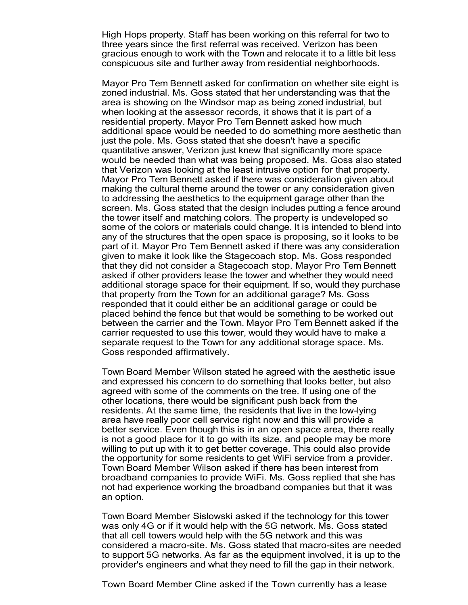High Hops property. Staff has been working on this referral for two to three years since the first referral was received. Verizon has been gracious enough to work with the Town and relocate it to a little bit less conspicuous site and further away from residential neighborhoods.

Mayor Pro Tem Bennett asked for confirmation on whether site eight is zoned industrial. Ms. Goss stated that her understanding was that the area is showing on the Windsor map as being zoned industrial, but when looking at the assessor records, it shows that it is part of a residential property. Mayor Pro Tem Bennett asked how much additional space would be needed to do something more aesthetic than just the pole. Ms. Goss stated that she doesn't have a specific quantitative answer, Verizon just knew that significantly more space would be needed than what was being proposed. Ms. Goss also stated that Verizon was looking at the least intrusive option for that property. Mayor Pro Tem Bennett asked if there was consideration given about making the cultural theme around the tower or any consideration given to addressing the aesthetics to the equipment garage other than the screen. Ms. Goss stated that the design includes putting a fence around the tower itself and matching colors. The property is undeveloped so some of the colors or materials could change. It is intended to blend into any of the structures that the open space is proposing, so it looks to be part of it. Mayor Pro Tem Bennett asked if there was any consideration given to make it look like the Stagecoach stop. Ms. Goss responded that they did not consider a Stagecoach stop. Mayor Pro Tem Bennett asked if other providers lease the tower and whether they would need additional storage space for their equipment. If so, would they purchase that property from the Town for an additional garage? Ms. Goss responded that it could either be an additional garage or could be placed behind the fence but that would be something to be worked out between the carrier and the Town. Mayor Pro Tem Bennett asked if the carrier requested to use this tower, would they would have to make a separate request to the Town for any additional storage space. Ms. Goss responded affirmatively.

Town Board Member Wilson stated he agreed with the aesthetic issue and expressed his concern to do something that looks better, but also agreed with some of the comments on the tree. If using one of the other locations, there would be significant push back from the residents. At the same time, the residents that live in the low-lying area have really poor cell service right now and this will provide a better service. Even though this is in an open space area, there really is not a good place for it to go with its size, and people may be more willing to put up with it to get better coverage. This could also provide the opportunity for some residents to get WiFi service from a provider. Town Board Member Wilson asked if there has been interest from broadband companies to provide WiFi. Ms. Goss replied that she has not had experience working the broadband companies but that it was an option.

Town Board Member Sislowski asked if the technology for this tower was only 4G or if it would help with the 5G network. Ms. Goss stated that all cell towers would help with the 5G network and this was considered a macro-site. Ms. Goss stated that macro-sites are needed to support 5G networks. As far as the equipment involved, it is up to the provider's engineers and what they need to fill the gap in their network.

Town Board Member Cline asked if the Town currently has a lease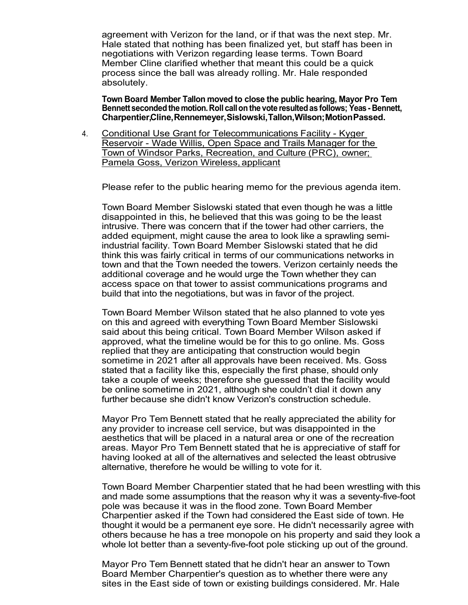agreement with Verizon for the land, or if that was the next step. Mr. Hale stated that nothing has been finalized yet, but staff has been in negotiations with Verizon regarding lease terms. Town Board Member Cline clarified whether that meant this could be a quick process since the ball was already rolling. Mr. Hale responded absolutely.

**Town Board Member Tallon moved to close the public hearing, Mayor Pro Tem Bennett secondedthemotion.Roll callon the vote resultedas follows; Yeas- Bennett, Charpentier,Cline,Rennemeyer,Sislowski,Tallon,Wilson;MotionPassed.**

4. Conditional Use Grant for Telecommunications Facility - Kyger Reservoir - Wade Willis, Open Space and Trails Manager for the Town of Windsor Parks, Recreation, and Culture (PRC), owner; Pamela Goss, Verizon Wireless, applicant

Please refer to the public hearing memo for the previous agenda item.

Town Board Member Sislowski stated that even though he was a little disappointed in this, he believed that this was going to be the least intrusive. There was concern that if the tower had other carriers, the added equipment, might cause the area to look like a sprawling semiindustrial facility. Town Board Member Sislowski stated that he did think this was fairly critical in terms of our communications networks in town and that the Town needed the towers. Verizon certainly needs the additional coverage and he would urge the Town whether they can access space on that tower to assist communications programs and build that into the negotiations, but was in favor of the project.

Town Board Member Wilson stated that he also planned to vote yes on this and agreed with everything Town Board Member Sislowski said about this being critical. Town Board Member Wilson asked if approved, what the timeline would be for this to go online. Ms. Goss replied that they are anticipating that construction would begin sometime in 2021 after all approvals have been received. Ms. Goss stated that a facility like this, especially the first phase, should only take a couple of weeks; therefore she guessed that the facility would be online sometime in 2021, although she couldn't dial it down any further because she didn't know Verizon's construction schedule.

Mayor Pro Tem Bennett stated that he really appreciated the ability for any provider to increase cell service, but was disappointed in the aesthetics that will be placed in a natural area or one of the recreation areas. Mayor Pro Tem Bennett stated that he is appreciative of staff for having looked at all of the alternatives and selected the least obtrusive alternative, therefore he would be willing to vote for it.

Town Board Member Charpentier stated that he had been wrestling with this and made some assumptions that the reason why it was a seventy-five-foot pole was because it was in the flood zone. Town Board Member Charpentier asked if the Town had considered the East side of town. He thought it would be a permanent eye sore. He didn't necessarily agree with others because he has a tree monopole on his property and said they look a whole lot better than a seventy-five-foot pole sticking up out of the ground.

Mayor Pro Tem Bennett stated that he didn't hear an answer to Town Board Member Charpentier's question as to whether there were any sites in the East side of town or existing buildings considered. Mr. Hale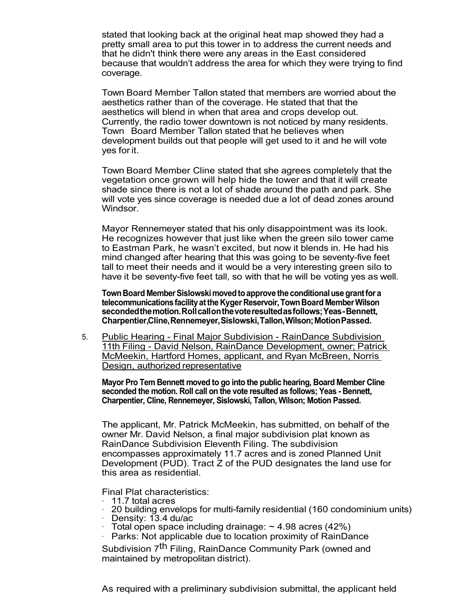stated that looking back at the original heat map showed they had a pretty small area to put this tower in to address the current needs and that he didn't think there were any areas in the East considered because that wouldn't address the area for which they were trying to find coverage.

Town Board Member Tallon stated that members are worried about the aesthetics rather than of the coverage. He stated that that the aesthetics will blend in when that area and crops develop out. Currently, the radio tower downtown is not noticed by many residents. Town Board Member Tallon stated that he believes when development builds out that people will get used to it and he will vote yes forit.

Town Board Member Cline stated that she agrees completely that the vegetation once grown will help hide the tower and that it will create shade since there is not a lot of shade around the path and park. She will vote yes since coverage is needed due a lot of dead zones around Windsor.

Mayor Rennemeyer stated that his only disappointment was its look. He recognizes however that just like when the green silo tower came to Eastman Park, he wasn't excited, but now it blends in. He had his mind changed after hearing that this was going to be seventy-five feet tall to meet their needs and it would be a very interesting green silo to have it be seventy-five feet tall, so with that he will be voting yes as well.

**TownBoard MemberSislowskimovedtoapprove the conditionaluse grantfor a telecommunicationsfacilityatthe Kyger Reservoir,TownBoard MemberWilson secondedthemotion.Rollcallonthevoteresultedasfollows;Yeas-Bennett, Charpentier,Cline,Rennemeyer,Sislowski,Tallon,Wilson;MotionPassed.**

5. Public Hearing - Final Major Subdivision - RainDance Subdivision 11th Filing - David Nelson, RainDance Development, owner; Patrick McMeekin, Hartford Homes, applicant, and Ryan McBreen, Norris Design, authorized representative

**Mayor Pro Tem Bennett moved to go into the public hearing, Board Member Cline seconded the motion. Roll call on the vote resulted as follows; Yeas - Bennett, Charpentier, Cline, Rennemeyer, Sislowski, Tallon, Wilson; Motion Passed.**

The applicant, Mr. Patrick McMeekin, has submitted, on behalf of the owner Mr. David Nelson, a final major subdivision plat known as RainDance Subdivision Eleventh Filing. The subdivision encompasses approximately 11.7 acres and is zoned Planned Unit Development (PUD). Tract Z of the PUD designates the land use for this area as residential.

Final Plat characteristics:<br>11.7 total acres

- 
- · 11.7 total acres · <sup>20</sup> building envelops for multi-family residential (160 condominium units) · Density: 13.4 du/ac · Total open space including drainage: ~ 4.98 acres (42%)
- 
- 
- Parks: Not applicable due to location proximity of RainDance

Subdivision 7<sup>th</sup> Filing, RainDance Community Park (owned and maintained by metropolitan district).

As required with a preliminary subdivision submittal, the applicant held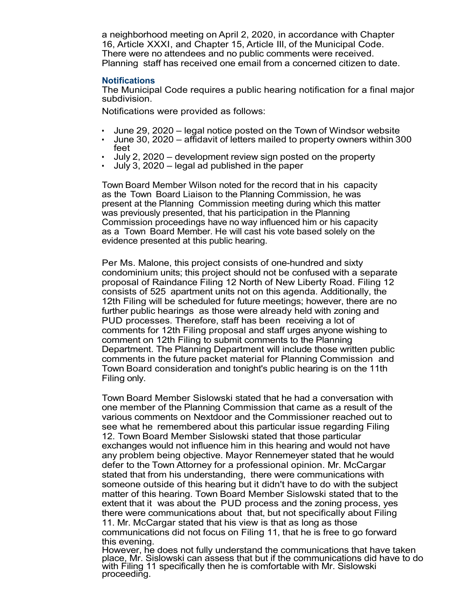a neighborhood meeting on April 2, 2020, in accordance with Chapter 16, Article XXXI, and Chapter 15, Article III, of the Municipal Code. There were no attendees and no public comments were received. Planning staff has received one email from a concerned citizen to date.

#### **Notifications**

The Municipal Code requires a public hearing notification for a final major subdivision.

Notifications were provided as follows:

- 
- June 29, <sup>2020</sup> legal notice posted on the Town of Windsor website June 30, <sup>2020</sup> affidavit of letters mailed to property owners within <sup>300</sup>
- $\cdot$  July 2, 2020 development review sign posted on the property
- July 3, 2020 legal ad published in the paper

Town Board Member Wilson noted for the record that in his capacity as the Town Board Liaison to the Planning Commission, he was present at the Planning Commission meeting during which this matter was previously presented, that his participation in the Planning Commission proceedings have no way influenced him or his capacity as a Town Board Member. He will cast his vote based solely on the evidence presented at this public hearing.

Per Ms. Malone, this project consists of one-hundred and sixty condominium units; this project should not be confused with a separate proposal of Raindance Filing 12 North of New Liberty Road. Filing 12 consists of 525 apartment units not on this agenda. Additionally, the 12th Filing will be scheduled for future meetings; however, there are no further public hearings as those were already held with zoning and PUD processes. Therefore, staff has been receiving a lot of comments for 12th Filing proposal and staff urges anyone wishing to comment on 12th Filing to submit comments to the Planning Department. The Planning Department will include those written public comments in the future packet material for Planning Commission and Town Board consideration and tonight's public hearing is on the 11th Filing only.

Town Board Member Sislowski stated that he had a conversation with one member of the Planning Commission that came as a result of the various comments on Nextdoor and the Commissioner reached out to see what he remembered about this particular issue regarding Filing 12. Town Board Member Sislowski stated that those particular exchanges would not influence him in this hearing and would not have any problem being objective. Mayor Rennemeyer stated that he would defer to the Town Attorney for a professional opinion. Mr. McCargar stated that from his understanding, there were communications with someone outside of this hearing but it didn't have to do with the subject matter of this hearing. Town Board Member Sislowski stated that to the extent that it was about the PUD process and the zoning process, yes there were communications about that, but not specifically about Filing 11. Mr. McCargar stated that his view is that as long as those communications did not focus on Filing 11, that he is free to go forward this evening.

However, he does not fully understand the communications that have taken place, Mr. Sislowski can assess that but if the communications did have to do with Filing 11 specifically then he is comfortable with Mr. Sislowski proceeding.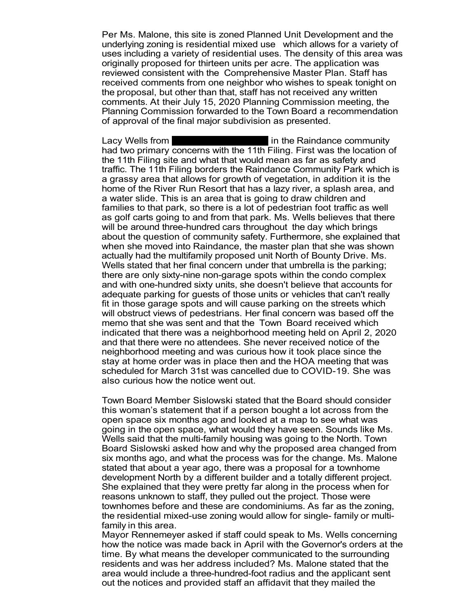Per Ms. Malone, this site is zoned Planned Unit Development and the underlying zoning is residential mixed use which allows for a variety of uses including a variety of residential uses. The density of this area was originally proposed for thirteen units per acre. The application was reviewed consistent with the Comprehensive Master Plan. Staff has received comments from one neighbor who wishes to speak tonight on the proposal, but other than that, staff has not received any written comments. At their July 15, 2020 Planning Commission meeting, the Planning Commission forwarded to the Town Board a recommendation of approval of the final major subdivision as presented.

Lacy Wells from **1997 Rose Petersian Accord Petersis** in the Raindance community had two primary concerns with the 11th Filing. First was the location of the 11th Filing site and what that would mean as far as safety and traffic. The 11th Filing borders the Raindance Community Park which is a grassy area that allows for growth of vegetation, in addition it is the home of the River Run Resort that has a lazy river, a splash area, and a water slide. This is an area that is going to draw children and families to that park, so there is a lot of pedestrian foot traffic as well as golf carts going to and from that park. Ms. Wells believes that there will be around three-hundred cars throughout the day which brings about the question of community safety. Furthermore, she explained that when she moved into Raindance, the master plan that she was shown actually had the multifamily proposed unit North of Bounty Drive. Ms. Wells stated that her final concern under that umbrella is the parking; there are only sixty-nine non-garage spots within the condo complex and with one-hundred sixty units, she doesn't believe that accounts for adequate parking for guests of those units or vehicles that can't really fit in those garage spots and will cause parking on the streets which will obstruct views of pedestrians. Her final concern was based off the memo that she was sent and that the Town Board received which indicated that there was a neighborhood meeting held on April 2, 2020 and that there were no attendees. She never received notice of the neighborhood meeting and was curious how it took place since the stay at home order was in place then and the HOA meeting that was scheduled for March 31st was cancelled due to COVID-19. She was also curious how the notice went out.

Town Board Member Sislowski stated that the Board should consider this woman's statement that if a person bought a lot across from the open space six months ago and looked at a map to see what was going in the open space, what would they have seen. Sounds like Ms. Wells said that the multi-family housing was going to the North. Town Board Sislowski asked how and why the proposed area changed from six months ago, and what the process was for the change. Ms. Malone stated that about a year ago, there was a proposal for a townhome development North by a different builder and a totally different project. She explained that they were pretty far along in the process when for reasons unknown to staff, they pulled out the project. Those were townhomes before and these are condominiums. As far as the zoning, the residential mixed-use zoning would allow for single- family or multifamily in this area.

Mayor Rennemeyer asked if staff could speak to Ms. Wells concerning how the notice was made back in April with the Governor's orders at the time. By what means the developer communicated to the surrounding residents and was her address included? Ms. Malone stated that the area would include a three-hundred-foot radius and the applicant sent out the notices and provided staff an affidavit that they mailed the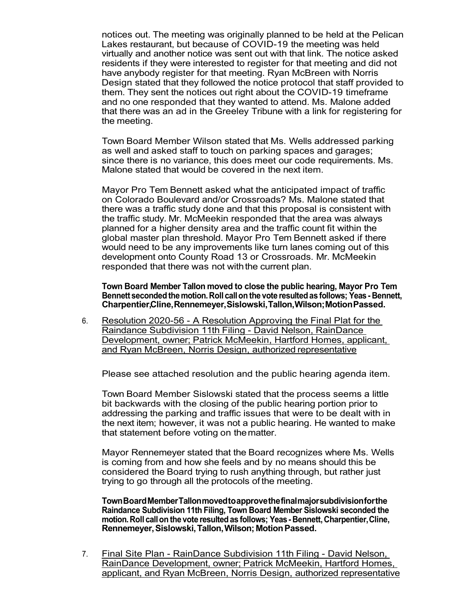notices out. The meeting was originally planned to be held at the Pelican Lakes restaurant, but because of COVID-19 the meeting was held virtually and another notice was sent out with that link. The notice asked residents if they were interested to register for that meeting and did not have anybody register for that meeting. Ryan McBreen with Norris Design stated that they followed the notice protocol that staff provided to them. They sent the notices out right about the COVID-19 timeframe and no one responded that they wanted to attend. Ms. Malone added that there was an ad in the Greeley Tribune with a link for registering for the meeting.

Town Board Member Wilson stated that Ms. Wells addressed parking as well and asked staff to touch on parking spaces and garages; since there is no variance, this does meet our code requirements. Ms. Malone stated that would be covered in the next item.

Mayor Pro Tem Bennett asked what the anticipated impact of traffic on Colorado Boulevard and/or Crossroads? Ms. Malone stated that there was a traffic study done and that this proposal is consistent with the traffic study. Mr. McMeekin responded that the area was always planned for a higher density area and the traffic count fit within the global master plan threshold. Mayor Pro Tem Bennett asked if there would need to be any improvements like turn lanes coming out of this development onto County Road 13 or Crossroads. Mr. McMeekin responded that there was not with the current plan.

**Town Board Member Tallon moved to close the public hearing, Mayor Pro Tem Bennett secondedthemotion.Roll callon the vote resultedas follows; Yeas- Bennett, Charpentier,Cline,Rennemeyer,Sislowski,Tallon,Wilson;MotionPassed.**

6. Resolution 2020-56 - A Resolution Approving the Final Plat for the Raindance Subdivision 11th Filing - David Nelson, RainDance Development, owner; Patrick McMeekin, Hartford Homes, applicant, and Ryan McBreen, Norris Design, authorized representative

Please see attached resolution and the public hearing agenda item.

Town Board Member Sislowski stated that the process seems a little bit backwards with the closing of the public hearing portion prior to addressing the parking and traffic issues that were to be dealt with in the next item; however, it was not a public hearing. He wanted to make that statement before voting on thematter.

Mayor Rennemeyer stated that the Board recognizes where Ms. Wells is coming from and how she feels and by no means should this be considered the Board trying to rush anything through, but rather just trying to go through all the protocols of the meeting.

**TownBoardMemberTallonmovedtoapprovethefinalmajorsubdivisionforthe Raindance Subdivision 11th Filing, Town Board Member Sislowski seconded the motion.Roll callon the vote resultedas follows; Yeas- Bennett, Charpentier,Cline, Rennemeyer,Sislowski,Tallon,Wilson; MotionPassed.**

7. Final Site Plan - RainDance Subdivision 11th Filing - David Nelson, RainDance Development, owner; Patrick McMeekin, Hartford Homes, applicant, and Ryan McBreen, Norris Design, authorized representative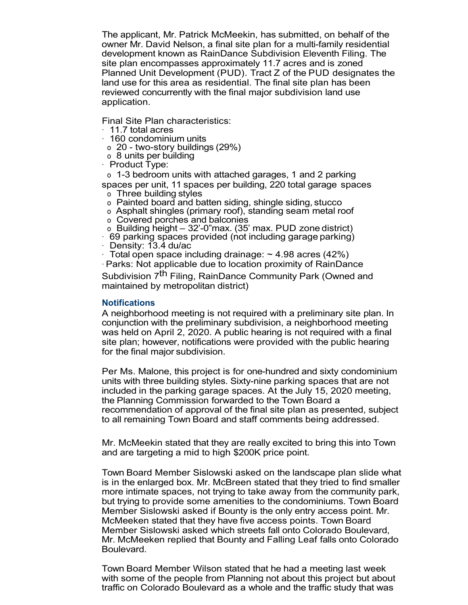The applicant, Mr. Patrick McMeekin, has submitted, on behalf of the owner Mr. David Nelson, a final site plan for a multi-family residential development known as RainDance Subdivision Eleventh Filing. The site plan encompasses approximately 11.7 acres and is zoned Planned Unit Development (PUD). Tract Z of the PUD designates the land use for this area as residential. The final site plan has been reviewed concurrently with the final major subdivision land use application.

Final Site Plan characteristics:

- · 11.7 total acres
- · 160 condominium units
- o 20 two-story buildings (29%)
- o 8 units per building
- · Product Type:

o 1-3 bedroom units with attached garages, 1 and 2 parking

- spaces per unit, 11 spaces per building, 220 total garage spaces o Three building styles
- o Painted board and batten siding, shingle siding, stucco
- o Asphalt shingles (primary roof), standing seam metal roof
- 
- o Covered porches and balconies<br>
o Building height 32'-0"max. (35' max. PUD zone district)
- $+$  69 parking spaces provided (not including garage parking)<br>· Density: 13.4 du/ac
- 
- $\cdot$  Total open space including drainage:  $\sim$  4.98 acres (42%)
- · Parks: Not applicable due to location proximity of RainDance

Subdivision 7<sup>th</sup> Filing, RainDance Community Park (Owned and maintained by metropolitan district)

#### **Notifications**

A neighborhood meeting is not required with a preliminary site plan. In conjunction with the preliminary subdivision, a neighborhood meeting was held on April 2, 2020. A public hearing is not required with a final site plan; however, notifications were provided with the public hearing for the final major subdivision.

Per Ms. Malone, this project is for one-hundred and sixty condominium units with three building styles. Sixty-nine parking spaces that are not included in the parking garage spaces. At the July 15, 2020 meeting, the Planning Commission forwarded to the Town Board a recommendation of approval of the final site plan as presented, subject to all remaining Town Board and staff comments being addressed.

Mr. McMeekin stated that they are really excited to bring this into Town and are targeting a mid to high \$200K price point.

Town Board Member Sislowski asked on the landscape plan slide what is in the enlarged box. Mr. McBreen stated that they tried to find smaller more intimate spaces, not trying to take away from the community park, but trying to provide some amenities to the condominiums. Town Board Member Sislowski asked if Bounty is the only entry access point. Mr. McMeeken stated that they have five access points. Town Board Member Sislowski asked which streets fall onto Colorado Boulevard, Mr. McMeeken replied that Bounty and Falling Leaf falls onto Colorado Boulevard.

Town Board Member Wilson stated that he had a meeting last week with some of the people from Planning not about this project but about traffic on Colorado Boulevard as a whole and the traffic study that was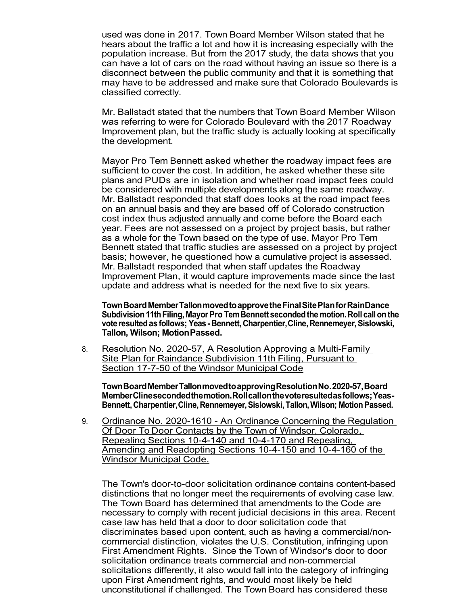used was done in 2017. Town Board Member Wilson stated that he hears about the traffic a lot and how it is increasing especially with the population increase. But from the 2017 study, the data shows that you can have a lot of cars on the road without having an issue so there is a disconnect between the public community and that it is something that may have to be addressed and make sure that Colorado Boulevards is classified correctly.

Mr. Ballstadt stated that the numbers that Town Board Member Wilson was referring to were for Colorado Boulevard with the 2017 Roadway Improvement plan, but the traffic study is actually looking at specifically the development.

Mayor Pro Tem Bennett asked whether the roadway impact fees are sufficient to cover the cost. In addition, he asked whether these site plans and PUDs are in isolation and whether road impact fees could be considered with multiple developments along the same roadway. Mr. Ballstadt responded that staff does looks at the road impact fees on an annual basis and they are based off of Colorado construction cost index thus adjusted annually and come before the Board each year. Fees are not assessed on a project by project basis, but rather as a whole for the Town based on the type of use. Mayor Pro Tem Bennett stated that traffic studies are assessed on a project by project basis; however, he questioned how a cumulative project is assessed. Mr. Ballstadt responded that when staff updates the Roadway Improvement Plan, it would capture improvements made since the last update and address what is needed for the next five to six years.

**TownBoardMemberTallonmovedtoapprovetheFinalSitePlanforRainDance Subdivision11thFiling, MayorPro TemBennett secondedthe motion.Roll callonthe vote resultedas follows; Yeas- Bennett, Charpentier,Cline, Rennemeyer,Sislowski, Tallon, Wilson; MotionPassed.**

8. Resolution No. 2020-57, A Resolution Approving a Multi-Family Site Plan for Raindance Subdivision 11th Filing, Pursuant to Section 17-7-50 of the Windsor Municipal Code

**TownBoardMemberTallonmovedtoapprovingResolutionNo.2020-57,Board MemberClinesecondedthemotion.Rollcallonthevoteresultedasfollows;Yeas-Bennett,Charpentier,Cline,Rennemeyer,Sislowski,Tallon,Wilson; MotionPassed.**

9. Ordinance No. 2020-1610 - An Ordinance Concerning the Regulation Of Door To Door Contacts by the Town of Windsor, Colorado, Repealing Sections 10-4-140 and 10-4-170 and Repealing, Amending and Readopting Sections 10-4-150 and 10-4-160 of the Windsor Municipal Code.

The Town's door-to-door solicitation ordinance contains content-based distinctions that no longer meet the requirements of evolving case law. The Town Board has determined that amendments to the Code are necessary to comply with recent judicial decisions in this area. Recent case law has held that a door to door solicitation code that discriminates based upon content, such as having a commercial/noncommercial distinction, violates the U.S. Constitution, infringing upon First Amendment Rights. Since the Town of Windsor's door to door solicitation ordinance treats commercial and non-commercial solicitations differently, it also would fall into the category of infringing upon First Amendment rights, and would most likely be held unconstitutional if challenged. The Town Board has considered these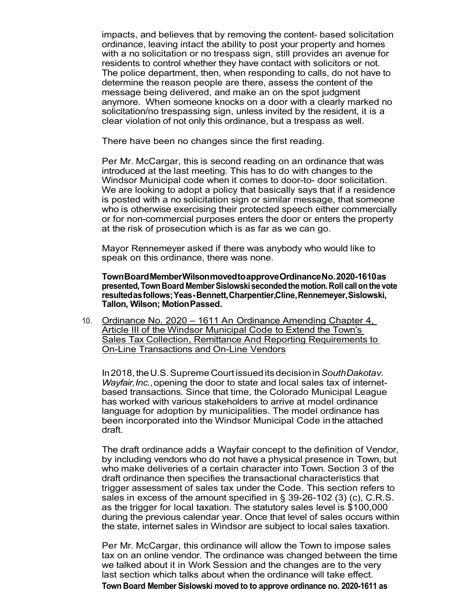impacts, and believes that by removing the content- based solicitation ordinance, leaving intact the ability to post your property and homes with a no solicitation or no trespass sign, still provides an avenue for residents to control whether they have contact with solicitors or not. The police department, then, when responding to calls, do not have to determine the reason people are there, assess the content of the message being delivered, and make an on the spot judgment anymore. When someone knocks on a door with a clearly marked no solicitation/no trespassing sign, unless invited by the resident, it is a clear violation of not only this ordinance, but a trespass as well.

There have been no changes since the first reading.

Per Mr. McCargar, this is second reading on an ordinance that was introduced at the last meeting. This has to do with changes to the Windsor Municipal code when it comes to door-to- door solicitation. We are looking to adopt a policy that basically says that if a residence is posted with a no solicitation sign or similar message, that someone who is otherwise exercising their protected speech either commercially or for non-commercial purposes enters the door or enters the property at the risk of prosecution which is as far as we can go.

Mayor Rennemeyer asked if there was anybody who would like to speak on this ordinance, there was none.

**TownBoardMemberWilsonmovedtoapproveOrdinanceNo.2020-1610as presented,TownBoard MemberSislowskisecondedthe motion.Roll callon the vote resultedasfollows;Yeas-Bennett,Charpentier,Cline,Rennemeyer,Sislowski, Tallon, Wilson; MotionPassed.**

10. Ordinance No. 2020 – 1611 An Ordinance Amending Chapter 4, Article III of the Windsor Municipal Code to Extend the Town's Sales Tax Collection, Remittance And Reporting Requirements to On-Line Transactions and On-Line Vendors

In2018,theU.S.Supreme Courtissueditsdecisionin*SouthDakotav. Wayfair, Inc.*, opening the door to state and local sales tax of internetbased transactions. Since that time, the Colorado Municipal League has worked with various stakeholders to arrive at model ordinance language for adoption by municipalities. The model ordinance has been incorporated into the Windsor Municipal Code in the attached draft.

The draft ordinance adds a Wayfair concept to the definition of Vendor, by including vendors who do not have a physical presence in Town, but who make deliveries of a certain character into Town. Section 3 of the draft ordinance then specifies the transactional characteristics that trigger assessment of sales tax under the Code. This section refers to sales in excess of the amount specified in  $\S$  39-26-102 (3) (c), C.R.S. as the trigger for local taxation. The statutory sales level is \$100,000 during the previous calendar year. Once that level of sales occurs within the state, internet sales in Windsor are subject to local sales taxation.

Per Mr. McCargar, this ordinance will allow the Town to impose sales tax on an online vendor. The ordinance was changed between the time we talked about it in Work Session and the changes are to the very last section which talks about when the ordinance will take effect. **Town Board Member Sislowski moved to to approve ordinance no. 2020-1611 as**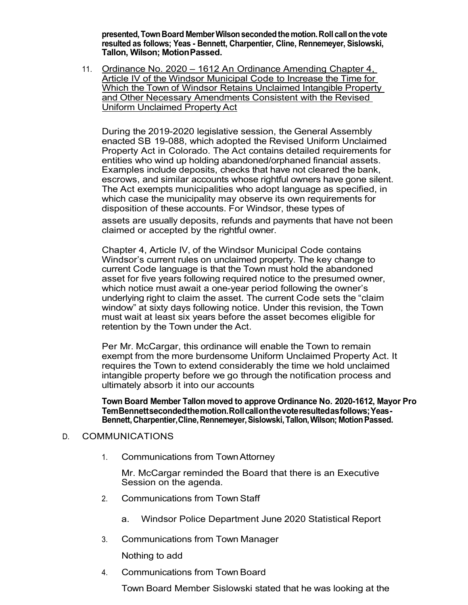**presented,TownBoard MemberWilsonsecondedthemotion.Roll callon the vote resulted as follows; Yeas - Bennett, Charpentier, Cline, Rennemeyer, Sislowski, Tallon, Wilson; MotionPassed.**

11. Ordinance No. 2020 – 1612 An Ordinance Amending Chapter 4, Article IV of the Windsor Municipal Code to Increase the Time for Which the Town of Windsor Retains Unclaimed Intangible Property and Other Necessary Amendments Consistent with the Revised Uniform Unclaimed Property Act

During the 2019-2020 legislative session, the General Assembly enacted SB 19-088, which adopted the Revised Uniform Unclaimed Property Act in Colorado. The Act contains detailed requirements for entities who wind up holding abandoned/orphaned financial assets. Examples include deposits, checks that have not cleared the bank, escrows, and similar accounts whose rightful owners have gone silent. The Act exempts municipalities who adopt language as specified, in which case the municipality may observe its own requirements for disposition of these accounts. For Windsor, these types of assets are usually deposits, refunds and payments that have not been claimed or accepted by the rightful owner.

Chapter 4, Article IV, of the Windsor Municipal Code contains Windsor's current rules on unclaimed property. The key change to current Code language is that the Town must hold the abandoned asset for five years following required notice to the presumed owner, which notice must await a one-year period following the owner's underlying right to claim the asset. The current Code sets the "claim window" at sixty days following notice. Under this revision, the Town must wait at least six years before the asset becomes eligible for retention by the Town under the Act.

Per Mr. McCargar, this ordinance will enable the Town to remain exempt from the more burdensome Uniform Unclaimed Property Act. It requires the Town to extend considerably the time we hold unclaimed intangible property before we go through the notification process and ultimately absorb it into our accounts

**Town Board Member Tallon moved to approve Ordinance No. 2020-1612, Mayor Pro TemBennettsecondedthemotion.Rollcallonthevoteresultedasfollows;Yeas-Bennett,Charpentier,Cline,Rennemeyer,Sislowski,Tallon,Wilson; MotionPassed.**

#### D. COMMUNICATIONS

1. Communications from TownAttorney

Mr. McCargar reminded the Board that there is an Executive Session on the agenda.

- 2. Communications from TownStaff
	- a. Windsor Police Department June 2020 Statistical Report
- 3. Communications from Town Manager

Nothing to add

4. Communications from TownBoard

Town Board Member Sislowski stated that he was looking at the